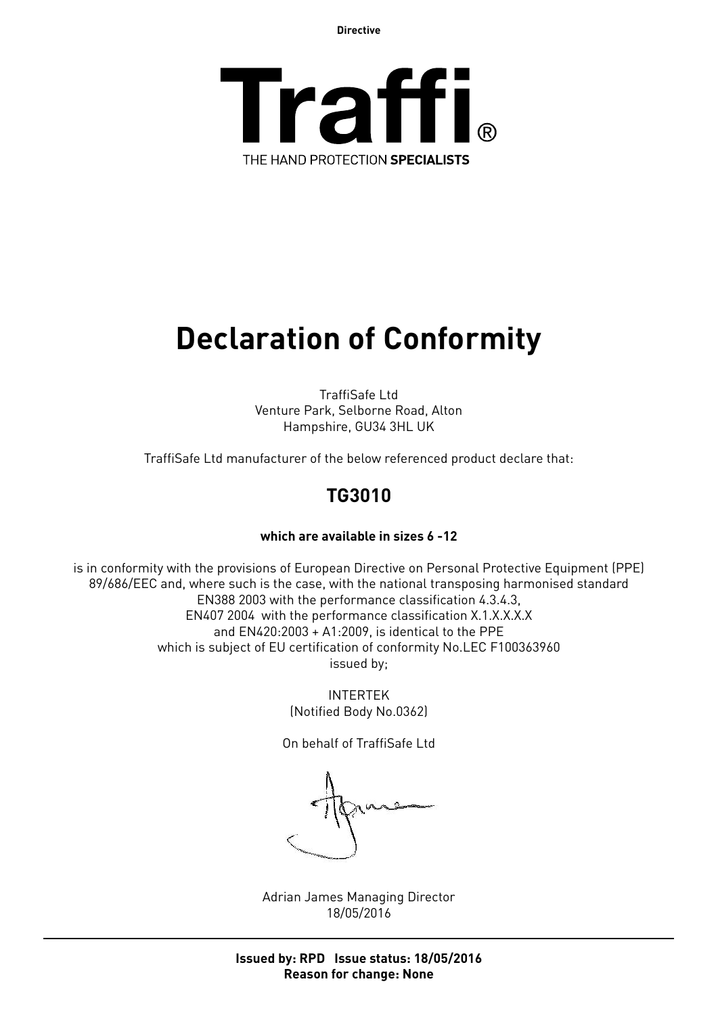**Directive**



# **Declaration of Conformity**

TraffiSafe Ltd Venture Park, Selborne Road, Alton Hampshire, GU34 3HL UK

TraffiSafe Ltd manufacturer of the below referenced product declare that:

## **TG3010**

### **which are available in sizes 6 -12**

is in conformity with the provisions of European Directive on Personal Protective Equipment (PPE) 89/686/EEC and, where such is the case, with the national transposing harmonised standard EN388 2003 with the performance classification 4.3.4.3, EN407 2004 with the performance classification X.1.X.X.X.X and EN420:2003 + A1:2009, is identical to the PPE which is subject of EU certification of conformity No.LEC F100363960 issued by;

> INTERTEK (Notified Body No.0362)

On behalf of TraffiSafe Ltd

Adrian James Managing Director 18/05/2016